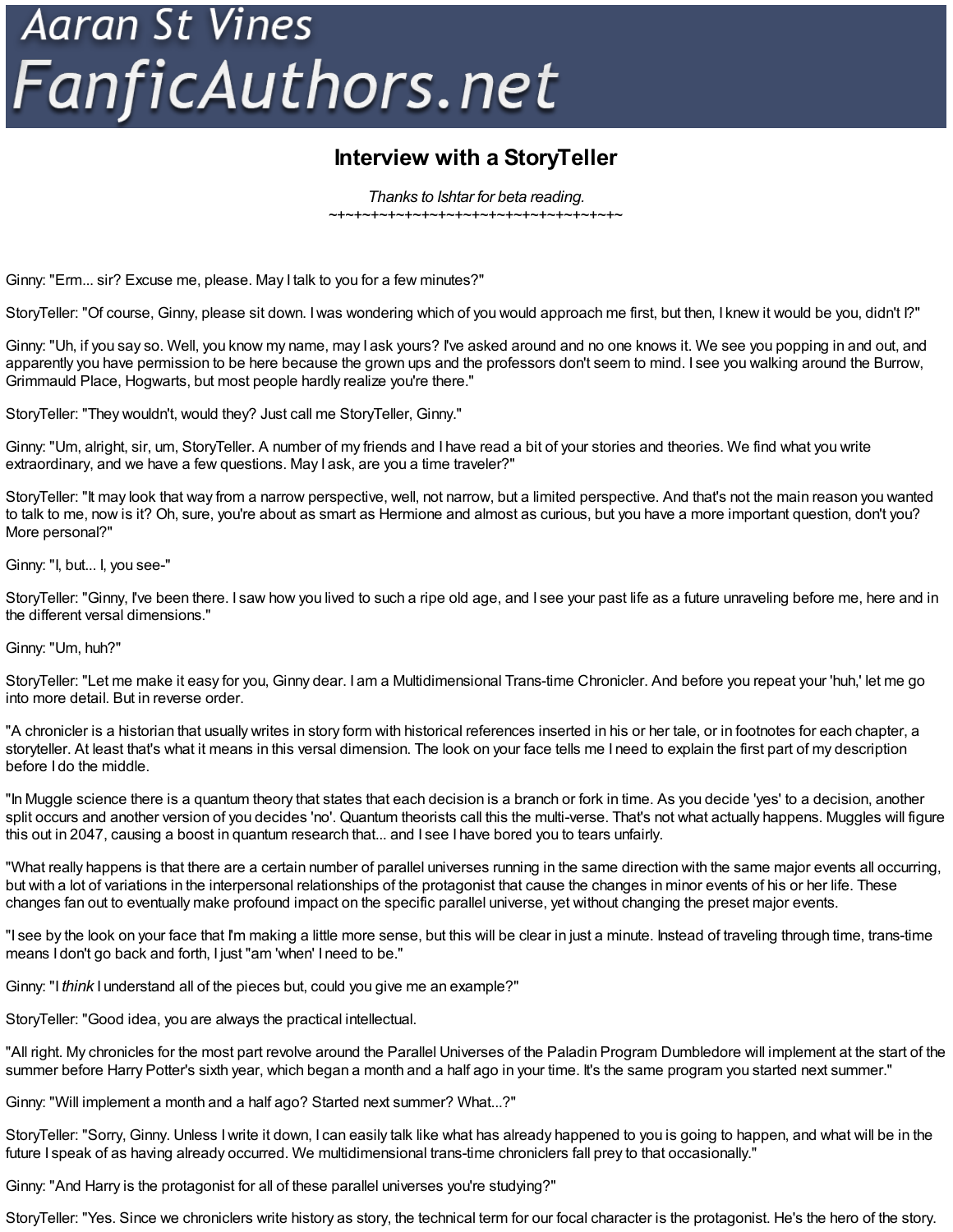## **Aaran St Vines** FanficAuthors.net

## **Interview with a StoryTeller**

*Thanks to Ishtar for beta reading.* ~+~+~+~+~+~+~+~+~+~+~+~+~+~+~+~+~+~

Ginny: "Erm... sir? Excuse me, please. May I talk to you for a few minutes?"

StoryTeller: "Of course, Ginny, please sit down. Iwas wondering which of you would approach me first, but then, I knew it would be you, didn't I?"

Ginny: "Uh, if you say so. Well, you know my name, may I ask yours? I've asked around and no one knows it. We see you popping in and out, and apparently you have permission to be here because the grown ups and the professors don't seem to mind. I see you walking around the Burrow, Grimmauld Place, Hogwarts, but most people hardly realize you're there."

StoryTeller: "They wouldn't, would they? Just call me StoryTeller, Ginny."

Ginny: "Um, alright, sir, um, StoryTeller. A number of my friends and I have read a bit of your stories and theories. We find what you write extraordinary, and we have a few questions. May I ask, are you a time traveler?"

StoryTeller: "It may look that way from a narrow perspective, well, not narrow, but a limited perspective. And that's not the main reason you wanted to talk to me, now is it? Oh, sure, you're about as smart as Hermione and almost as curious, but you have a more important question, don't you? More personal?"

Ginny: "I, but... I, you see-"

StoryTeller: "Ginny, I've been there. I saw how you lived to such a ripe old age, and I see your past life as a future unraveling before me, here and in the different versal dimensions."

Ginny: "Um, huh?"

StoryTeller: "Let me make it easy for you, Ginny dear. I am a Multidimensional Trans-time Chronicler. And before you repeat your 'huh,' let me go into more detail. But in reverse order.

"A chronicler is a historian that usually writes in story form with historical references inserted in his or her tale, or in footnotes for each chapter, a storyteller. At least that's what it means in this versal dimension. The look on your face tells me I need to explain the first part of my description before I do the middle.

"In Muggle science there is a quantum theory that states that each decision is a branch or fork in time. As you decide 'yes' to a decision, another split occurs and another version of you decides 'no'. Quantum theorists call this the multi-verse. That's not what actually happens. Muggles will figure this out in 2047, causing a boost in quantum research that... and I see I have bored you to tears unfairly.

"What really happens is that there are a certain number of parallel universes running in the same direction with the same major events all occurring, but with a lot of variations in the interpersonal relationships of the protagonist that cause the changes in minor events of his or her life. These changes fan out to eventually make profound impact on the specific parallel universe, yet without changing the preset major events.

"I see by the look on your face that I'm making a little more sense, but this will be clear in just a minute. Instead of traveling through time, trans-time means I don't go back and forth, I just "am 'when' I need to be."

Ginny: "I *think* I understand all of the pieces but, could you give me an example?"

StoryTeller: "Good idea, you are always the practical intellectual.

"All right. My chronicles for the most part revolve around the Parallel Universes of the Paladin Program Dumbledore will implement at the start of the summer before Harry Potter's sixth year, which began a month and a half ago in your time. It's the same program you started next summer."

Ginny: "Will implement a month and a half ago? Started next summer? What...?"

StoryTeller: "Sorry, Ginny. Unless Iwrite it down, I can easily talk like what has already happened to you is going to happen, and what will be in the future I speak of as having already occurred. We multidimensional trans-time chroniclers fall prey to that occasionally."

Ginny: "And Harry is the protagonist for all of these parallel universes you're studying?"

StoryTeller: "Yes. Since we chroniclers write history as story, the technical term for our focal character is the protagonist. He's the hero of the story.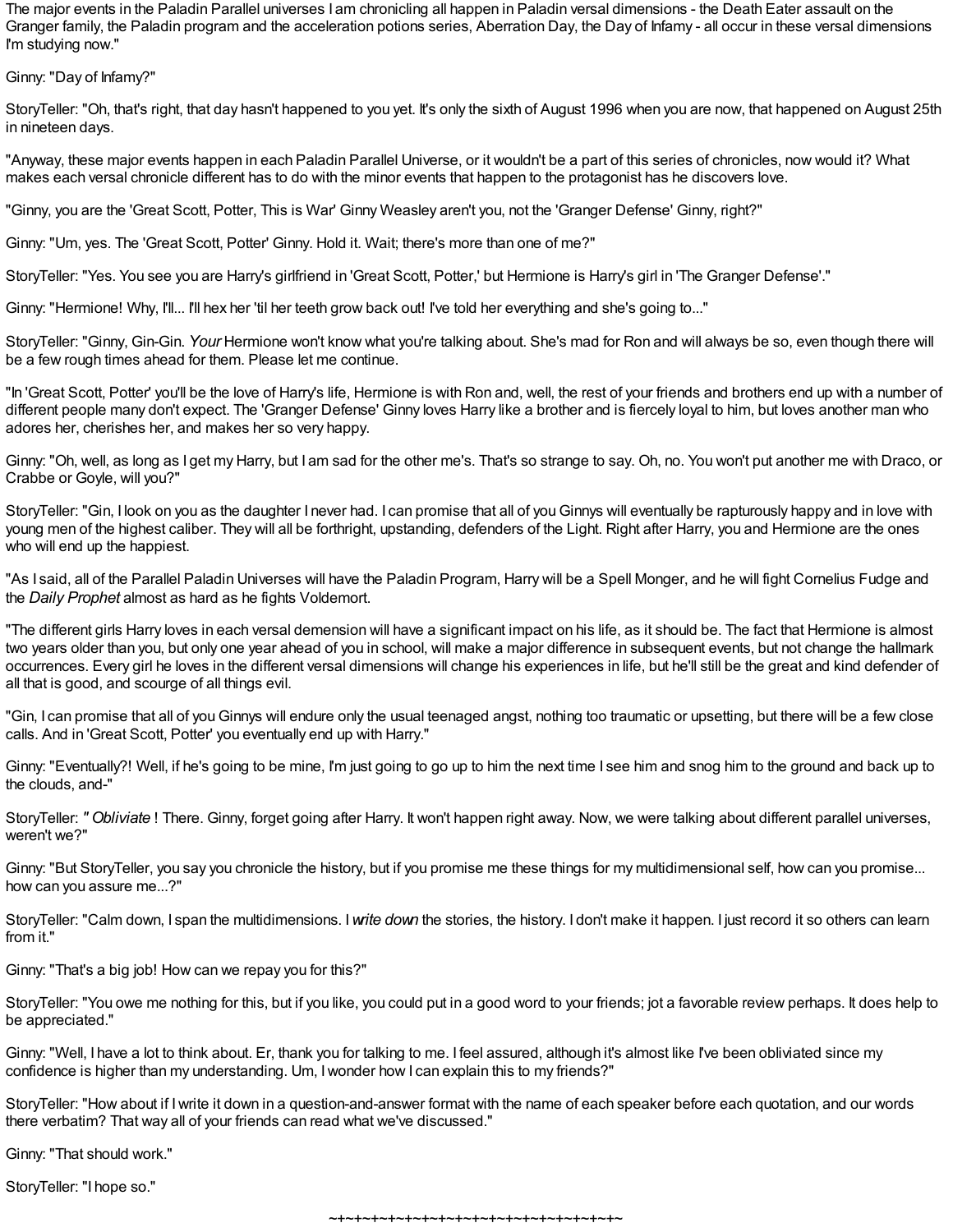The major events in the Paladin Parallel universes I am chronicling all happen in Paladin versal dimensions - the Death Eater assault on the Granger family, the Paladin program and the acceleration potions series, Aberration Day, the Day of Infamy - all occur in these versal dimensions I'm studying now."

Ginny: "Day of Infamy?"

StoryTeller: "Oh, that's right, that day hasn't happened to you yet. It's only the sixth of August 1996 when you are now, that happened on August 25th in nineteen days.

"Anyway, these major events happen in each Paladin Parallel Universe, or it wouldn't be a part of this series of chronicles, now would it? What makes each versal chronicle different has to do with the minor events that happen to the protagonist has he discovers love.

"Ginny, you are the 'Great Scott, Potter, This is War' Ginny Weasley aren't you, not the 'Granger Defense' Ginny, right?"

Ginny: "Um, yes. The 'Great Scott, Potter' Ginny. Hold it. Wait; there's more than one of me?"

StoryTeller: "Yes. You see you are Harry's girlfriend in 'Great Scott, Potter,' but Hermione is Harry's girl in 'The Granger Defense'."

Ginny: "Hermione! Why, I'll... I'll hex her 'til her teeth grow back out! I've told her everything and she's going to..."

StoryTeller: "Ginny, Gin-Gin. *Your* Hermione won't know what you're talking about. She's mad for Ron and will always be so, even though there will be a few rough times ahead for them. Please let me continue.

"In 'Great Scott, Potter' you'll be the love of Harry's life, Hermione is with Ron and, well, the rest of your friends and brothers end up with a number of different people many don't expect. The 'Granger Defense' Ginny loves Harry like a brother and is fiercely loyal to him, but loves another man who adores her, cherishes her, and makes her so very happy.

Ginny: "Oh, well, as long as I get my Harry, but I am sad for the other me's. That's so strange to say. Oh, no. You won't put another me with Draco, or Crabbe or Goyle, will you?"

StoryTeller: "Gin, I look on you as the daughter I never had. I can promise that all of you Ginnys will eventually be rapturously happy and in love with young men of the highest caliber. They will all be forthright, upstanding, defenders of the Light. Right after Harry, you and Hermione are the ones who will end up the happiest.

"As I said, all of the Parallel Paladin Universes will have the Paladin Program, Harry will be a Spell Monger, and he will fight Cornelius Fudge and the *Daily Prophet* almost as hard as he fights Voldemort.

"The different girls Harry loves in each versal demension will have a significant impact on his life, as it should be. The fact that Hermione is almost two years older than you, but only one year ahead of you in school, will make a major difference in subsequent events, but not change the hallmark occurrences. Every girl he loves in the different versal dimensions will change his experiences in life, but he'll still be the great and kind defender of all that is good, and scourge of all things evil.

"Gin, I can promise that all of you Ginnys will endure only the usual teenaged angst, nothing too traumatic or upsetting, but there will be a few close calls. And in 'Great Scott, Potter' you eventually end up with Harry."

Ginny: "Eventually?! Well, if he's going to be mine, I'm just going to go up to him the next time I see him and snog him to the ground and back up to the clouds, and-"

StoryTeller: *" Obliviate* ! There. Ginny, forget going after Harry. It won't happen right away. Now, we were talking about different parallel universes, weren't we?"

Ginny: "But StoryTeller, you say you chronicle the history, but if you promise me these things for my multidimensional self, how can you promise... how can you assure me...?"

StoryTeller: "Calm down, I span the multidimensions. I*write down* the stories, the history. I don't make it happen. I just record it so others can learn from it."

Ginny: "That's a big job! How can we repay you for this?"

StoryTeller: "You owe me nothing for this, but if you like, you could put in a good word to your friends; jot a favorable review perhaps. It does help to be appreciated."

Ginny: "Well, I have a lot to think about. Er, thank you for talking to me. I feel assured, although it's almost like I've been obliviated since my confidence is higher than my understanding. Um, Iwonder how I can explain this to my friends?"

StoryTeller: "How about if Iwrite it down in a question-and-answer format with the name of each speaker before each quotation, and our words there verbatim? That way all of your friends can read what we've discussed."

Ginny: "That should work."

StoryTeller: "I hope so."